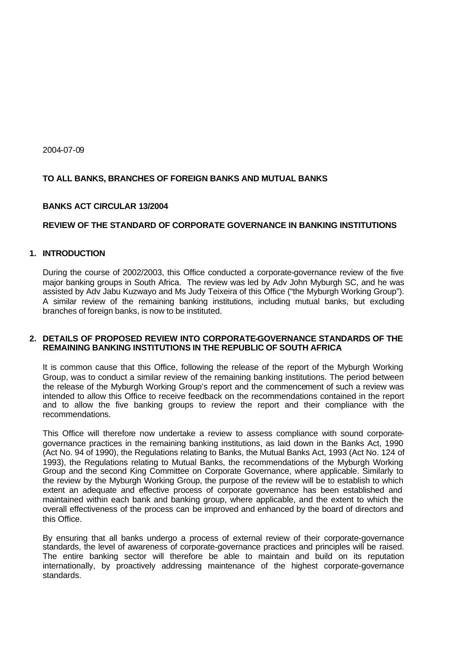2004-07-09

# **TO ALL BANKS, BRANCHES OF FOREIGN BANKS AND MUTUAL BANKS**

## **BANKS ACT CIRCULAR 13/2004**

## **REVIEW OF THE STANDARD OF CORPORATE GOVERNANCE IN BANKING INSTITUTIONS**

### **1. INTRODUCTION**

During the course of 2002/2003, this Office conducted a corporate-governance review of the five major banking groups in South Africa. The review was led by Adv John Myburgh SC, and he was assisted by Adv Jabu Kuzwayo and Ms Judy Teixeira of this Office ("the Myburgh Working Group"). A similar review of the remaining banking institutions, including mutual banks, but excluding branches of foreign banks, is now to be instituted.

### **2. DETAILS OF PROPOSED REVIEW INTO CORPORATE-GOVERNANCE STANDARDS OF THE REMAINING BANKING INSTITUTIONS IN THE REPUBLIC OF SOUTH AFRICA**

It is common cause that this Office, following the release of the report of the Myburgh Working Group, was to conduct a similar review of the remaining banking institutions. The period between the release of the Myburgh Working Group's report and the commencement of such a review was intended to allow this Office to receive feedback on the recommendations contained in the report and to allow the five banking groups to review the report and their compliance with the recommendations.

This Office will therefore now undertake a review to assess compliance with sound corporategovernance practices in the remaining banking institutions, as laid down in the Banks Act, 1990 (Act No. 94 of 1990), the Regulations relating to Banks, the Mutual Banks Act, 1993 (Act No. 124 of 1993), the Regulations relating to Mutual Banks, the recommendations of the Myburgh Working Group and the second King Committee on Corporate Governance, where applicable. Similarly to the review by the Myburgh Working Group, the purpose of the review will be to establish to which extent an adequate and effective process of corporate governance has been established and maintained within each bank and banking group, where applicable, and the extent to which the overall effectiveness of the process can be improved and enhanced by the board of directors and this Office.

By ensuring that all banks undergo a process of external review of their corporate-governance standards, the level of awareness of corporate-governance practices and principles will be raised. The entire banking sector will therefore be able to maintain and build on its reputation internationally, by proactively addressing maintenance of the highest corporate-governance standards.